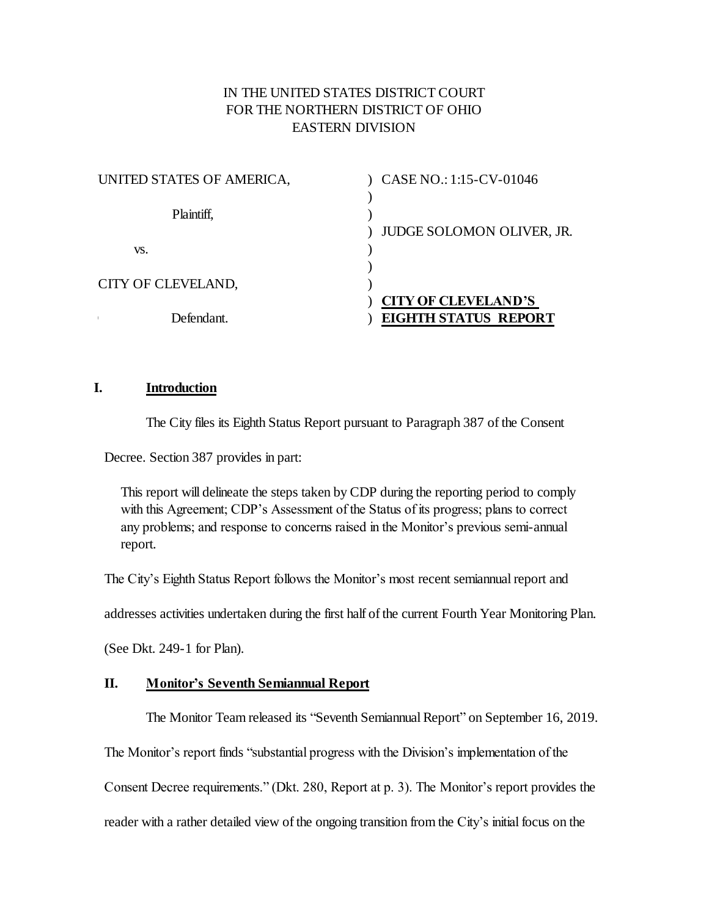# IN THE UNITED STATES DISTRICT COURT FOR THE NORTHERN DISTRICT OF OHIO EASTERN DIVISION

| UNITED STATES OF AMERICA, | CASE NO.: 1:15-CV-01046                                   |
|---------------------------|-----------------------------------------------------------|
| Plaintiff,                | <b>JUDGE SOLOMON OLIVER, JR.</b>                          |
| VS.                       |                                                           |
| CITY OF CLEVELAND,        |                                                           |
| Defendant.                | <b>CITY OF CLEVELAND'S</b><br><b>EIGHTH STATUS REPORT</b> |

## **I. Introduction**

The City files its Eighth Status Report pursuant to Paragraph 387 of the Consent

Decree. Section 387 provides in part:

This report will delineate the steps taken by CDP during the reporting period to comply with this Agreement; CDP's Assessment of the Status of its progress; plans to correct any problems; and response to concerns raised in the Monitor's previous semi-annual report.

The City's Eighth Status Report follows the Monitor's most recent semiannual report and

addresses activities undertaken during the first half of the current Fourth Year Monitoring Plan.

(See Dkt. 249-1 for Plan).

## **II. Monitor's Seventh Semiannual Report**

The Monitor Team released its "Seventh Semiannual Report" on September 16, 2019.

The Monitor's report finds "substantial progress with the Division's implementation of the

Consent Decree requirements." (Dkt. 280, Report at p. 3). The Monitor's report provides the

reader with a rather detailed view of the ongoing transition from the City's initial focus on the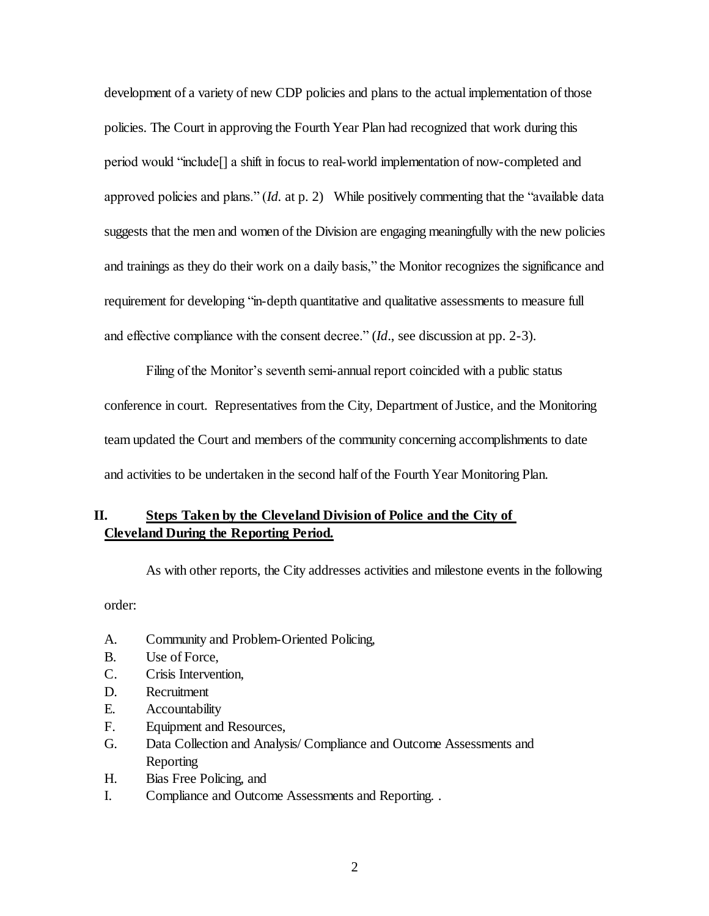development of a variety of new CDP policies and plans to the actual implementation of those policies. The Court in approving the Fourth Year Plan had recognized that work during this period would "include[] a shift in focus to real-world implementation of now-completed and approved policies and plans." (*Id.* at p. 2) While positively commenting that the "available data suggests that the men and women of the Division are engaging meaningfully with the new policies and trainings as they do their work on a daily basis," the Monitor recognizes the significance and requirement for developing "in-depth quantitative and qualitative assessments to measure full and effective compliance with the consent decree." (*Id*., see discussion at pp. 2-3).

Filing of the Monitor's seventh semi-annual report coincided with a public status conference in court. Representatives from the City, Department of Justice, and the Monitoring team updated the Court and members of the community concerning accomplishments to date and activities to be undertaken in the second half of the Fourth Year Monitoring Plan.

# **II. Steps Taken by the Cleveland Division of Police and the City of Cleveland During the Reporting Period.**

As with other reports, the City addresses activities and milestone events in the following

order:

- A. Community and Problem-Oriented Policing,
- B. Use of Force,
- C. Crisis Intervention,
- D. Recruitment
- E. Accountability
- F. Equipment and Resources,
- G. Data Collection and Analysis/ Compliance and Outcome Assessments and Reporting
- H. Bias Free Policing, and
- I. Compliance and Outcome Assessments and Reporting. .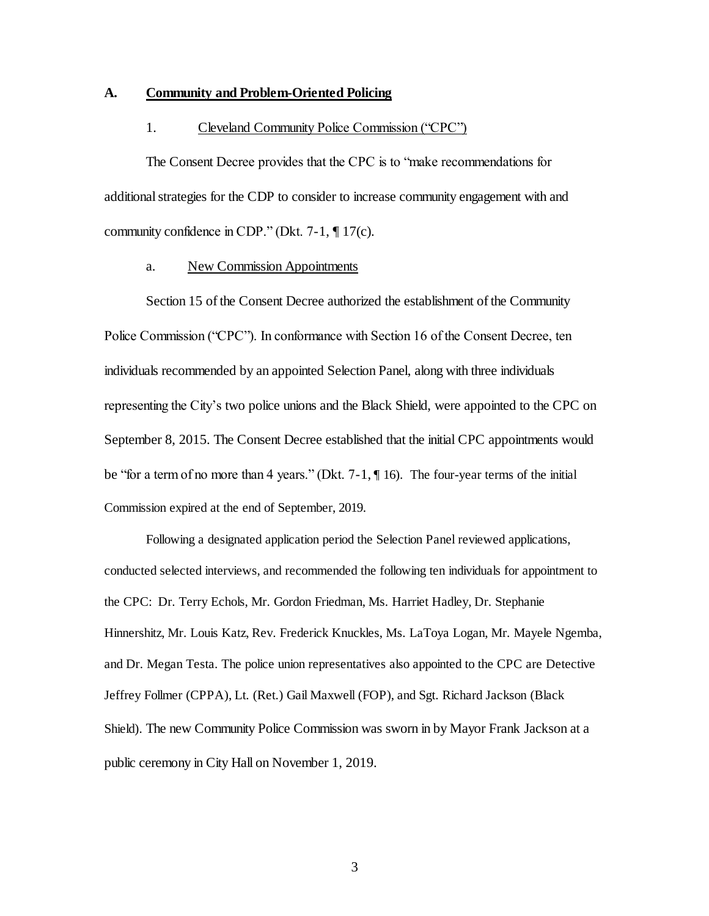#### **A. Community and Problem-Oriented Policing**

#### 1. Cleveland Community Police Commission ("CPC")

The Consent Decree provides that the CPC is to "make recommendations for additional strategies for the CDP to consider to increase community engagement with and community confidence in CDP." (Dkt. 7-1, ¶ 17(c).

#### a. New Commission Appointments

Section 15 of the Consent Decree authorized the establishment of the Community Police Commission ("CPC"). In conformance with Section 16 of the Consent Decree, ten individuals recommended by an appointed Selection Panel, along with three individuals representing the City's two police unions and the Black Shield, were appointed to the CPC on September 8, 2015. The Consent Decree established that the initial CPC appointments would be "for a term of no more than 4 years." (Dkt. 7-1, ¶ 16). The four-year terms of the initial Commission expired at the end of September, 2019.

Following a designated application period the Selection Panel reviewed applications, conducted selected interviews, and recommended the following ten individuals for appointment to the CPC: Dr. Terry Echols, Mr. Gordon Friedman, Ms. Harriet Hadley, Dr. Stephanie Hinnershitz, Mr. Louis Katz, Rev. Frederick Knuckles, Ms. LaToya Logan, Mr. Mayele Ngemba, and Dr. Megan Testa. The police union representatives also appointed to the CPC are Detective Jeffrey Follmer (CPPA), Lt. (Ret.) Gail Maxwell (FOP), and Sgt. Richard Jackson (Black Shield). The new Community Police Commission was sworn in by Mayor Frank Jackson at a public ceremony in City Hall on November 1, 2019.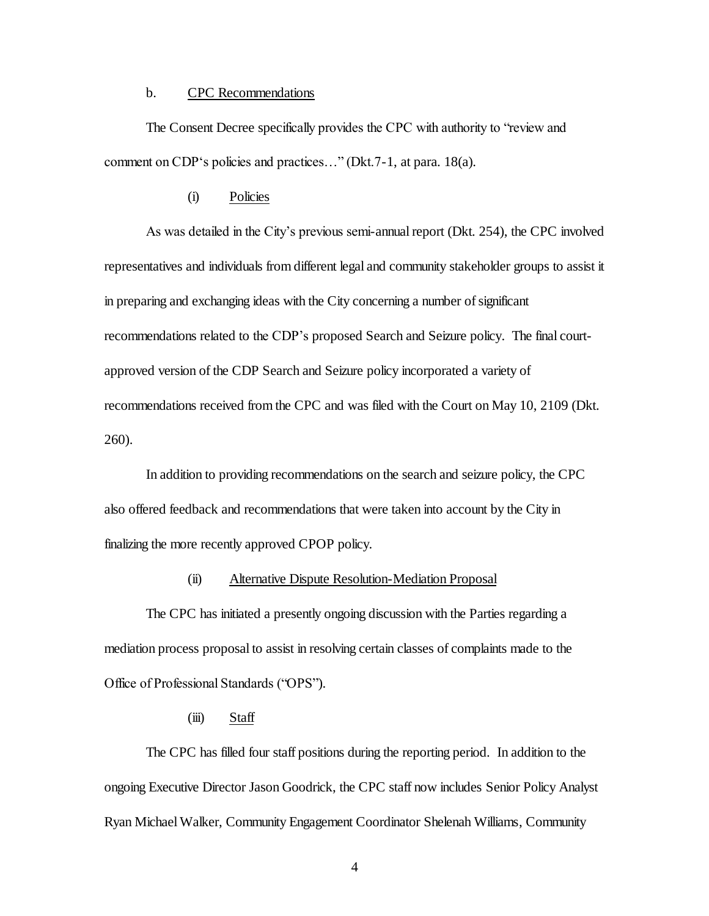#### b. CPC Recommendations

The Consent Decree specifically provides the CPC with authority to "review and comment on CDP's policies and practices…" (Dkt.7-1, at para. 18(a).

## (i) Policies

As was detailed in the City's previous semi-annualreport (Dkt. 254), the CPC involved representatives and individuals from different legal and community stakeholder groups to assist it in preparing and exchanging ideas with the City concerning a number of significant recommendations related to the CDP's proposed Search and Seizure policy. The final courtapproved version of the CDP Search and Seizure policy incorporated a variety of recommendations received from the CPC and was filed with the Court on May 10, 2109 (Dkt. 260).

In addition to providing recommendations on the search and seizure policy, the CPC also offered feedback and recommendations that were taken into account by the City in finalizing the more recently approved CPOP policy.

## (ii) Alternative Dispute Resolution-Mediation Proposal

The CPC has initiated a presently ongoing discussion with the Parties regarding a mediation process proposal to assist in resolving certain classes of complaints made to the Office of Professional Standards ("OPS").

## $(iii)$  Staff

The CPC has filled four staff positions during the reporting period. In addition to the ongoing Executive Director Jason Goodrick, the CPC staff now includes Senior Policy Analyst Ryan Michael Walker, Community Engagement Coordinator Shelenah Williams, Community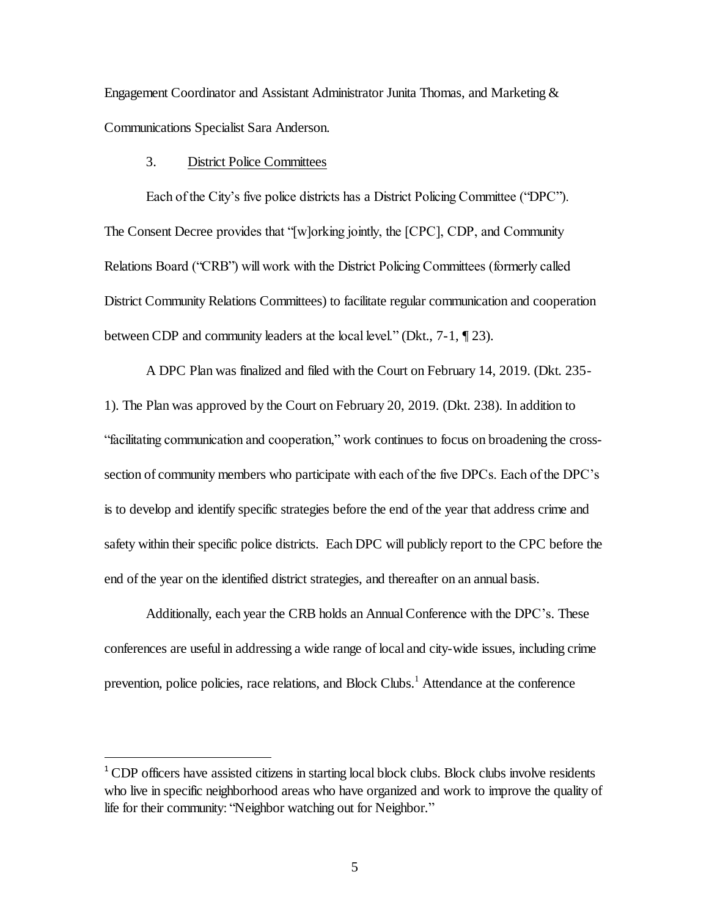Engagement Coordinator and Assistant Administrator Junita Thomas, and Marketing & Communications Specialist Sara Anderson.

## 3. District Police Committees

l

Each of the City's five police districts has a District Policing Committee ("DPC"). The Consent Decree provides that "[w]orking jointly, the [CPC], CDP, and Community Relations Board ("CRB") will work with the District Policing Committees (formerly called District Community Relations Committees) to facilitate regular communication and cooperation between CDP and community leaders at the local level." (Dkt., 7-1, ¶ 23).

A DPC Plan was finalized and filed with the Court on February 14, 2019. (Dkt. 235- 1). The Plan was approved by the Court on February 20, 2019. (Dkt. 238). In addition to "facilitating communication and cooperation," work continues to focus on broadening the crosssection of community members who participate with each of the five DPCs. Each of the DPC's is to develop and identify specific strategies before the end of the year that address crime and safety within their specific police districts. Each DPC will publicly report to the CPC before the end of the year on the identified district strategies, and thereafter on an annual basis.

Additionally, each year the CRB holds an Annual Conference with the DPC's. These conferences are useful in addressing a wide range of local and city-wide issues, including crime prevention, police policies, race relations, and Block Clubs.<sup>1</sup> Attendance at the conference

<sup>&</sup>lt;sup>1</sup> CDP officers have assisted citizens in starting local block clubs. Block clubs involve residents who live in specific neighborhood areas who have organized and work to improve the quality of life for their community: "Neighbor watching out for Neighbor."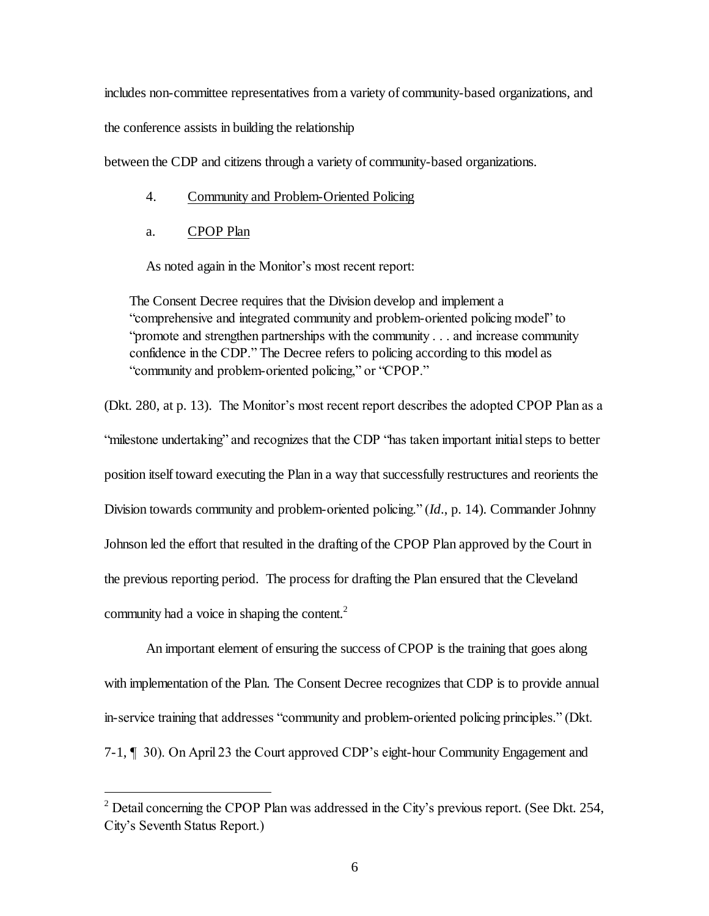includes non-committee representatives from a variety of community-based organizations, and

the conference assists in building the relationship

between the CDP and citizens through a variety of community-based organizations.

- 4. Community and Problem-Oriented Policing
- a. CPOP Plan

l

As noted again in the Monitor's most recent report:

The Consent Decree requires that the Division develop and implement a "comprehensive and integrated community and problem-oriented policing model" to "promote and strengthen partnerships with the community . . . and increase community confidence in the CDP." The Decree refers to policing according to this model as "community and problem-oriented policing," or "CPOP."

(Dkt. 280, at p. 13). The Monitor's most recent report describes the adopted CPOP Plan as a "milestone undertaking" and recognizes that the CDP "has taken important initial steps to better position itself toward executing the Plan in a way that successfully restructures and reorients the Division towards community and problem-oriented policing." (*Id*., p. 14). Commander Johnny Johnson led the effort that resulted in the drafting of the CPOP Plan approved by the Court in the previous reporting period. The process for drafting the Plan ensured that the Cleveland community had a voice in shaping the content.<sup>2</sup>

An important element of ensuring the success of CPOP is the training that goes along with implementation of the Plan. The Consent Decree recognizes that CDP is to provide annual in-service training that addresses "community and problem-oriented policing principles." (Dkt. 7-1, ¶ 30). On April 23 the Court approved CDP's eight-hour Community Engagement and

<sup>&</sup>lt;sup>2</sup> Detail concerning the CPOP Plan was addressed in the City's previous report. (See Dkt. 254, City's Seventh Status Report.)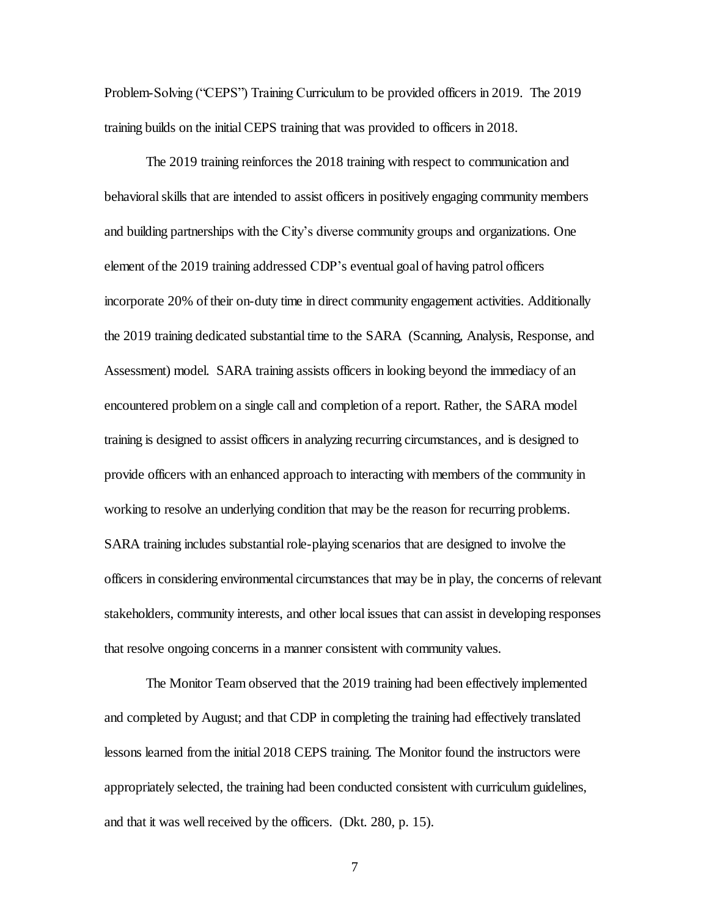Problem-Solving ("CEPS") Training Curriculum to be provided officers in 2019. The 2019 training builds on the initial CEPS training that was provided to officers in 2018.

The 2019 training reinforces the 2018 training with respect to communication and behavioral skills that are intended to assist officers in positively engaging community members and building partnerships with the City's diverse community groups and organizations. One element of the 2019 training addressed CDP's eventual goal of having patrol officers incorporate 20% of their on-duty time in direct community engagement activities. Additionally the 2019 training dedicated substantial time to the SARA (Scanning, Analysis, Response, and Assessment) model. SARA training assists officers in looking beyond the immediacy of an encountered problem on a single call and completion of a report. Rather, the SARA model training is designed to assist officers in analyzing recurring circumstances, and is designed to provide officers with an enhanced approach to interacting with members of the community in working to resolve an underlying condition that may be the reason for recurring problems. SARA training includes substantial role-playing scenarios that are designed to involve the officers in considering environmental circumstances that may be in play, the concerns of relevant stakeholders, community interests, and other local issues that can assist in developing responses that resolve ongoing concerns in a manner consistent with community values.

The Monitor Team observed that the 2019 training had been effectively implemented and completed by August; and that CDP in completing the training had effectively translated lessons learned from the initial 2018 CEPS training. The Monitor found the instructors were appropriately selected, the training had been conducted consistent with curriculum guidelines, and that it was well received by the officers. (Dkt. 280, p. 15).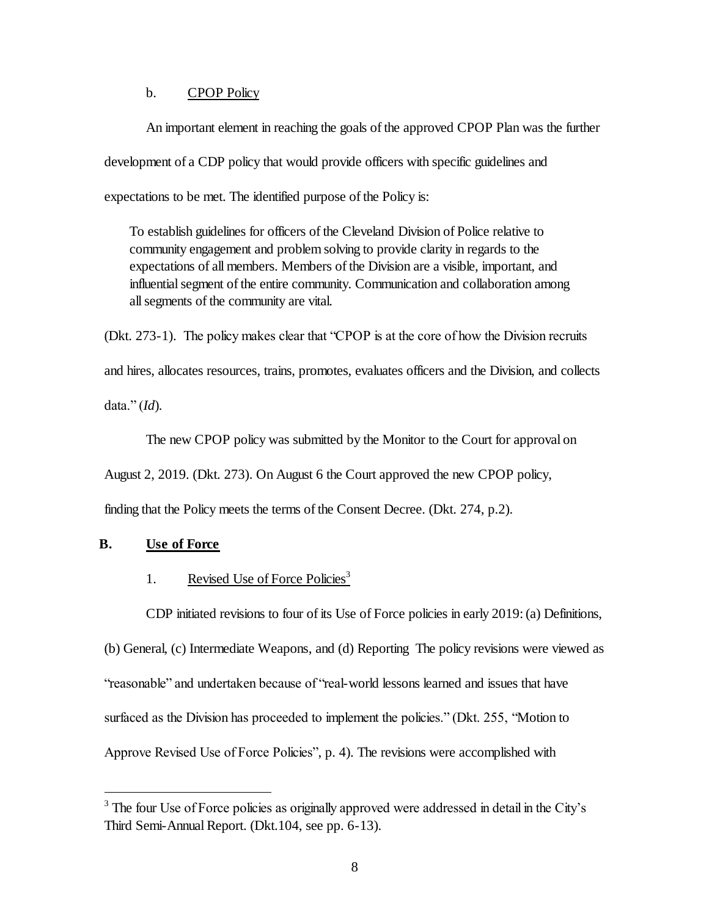## b. CPOP Policy

An important element in reaching the goals of the approved CPOP Plan was the further development of a CDP policy that would provide officers with specific guidelines and expectations to be met. The identified purpose of the Policy is:

To establish guidelines for officers of the Cleveland Division of Police relative to community engagement and problem solving to provide clarity in regards to the expectations of all members. Members of the Division are a visible, important, and influential segment of the entire community. Communication and collaboration among all segments of the community are vital.

(Dkt. 273-1). The policy makes clear that "CPOP is at the core of how the Division recruits and hires, allocates resources, trains, promotes, evaluates officers and the Division, and collects

data." (*Id*)*.*

l

The new CPOP policy was submitted by the Monitor to the Court for approval on

August 2, 2019. (Dkt. 273). On August 6 the Court approved the new CPOP policy,

finding that the Policy meets the terms of the Consent Decree. (Dkt. 274, p.2).

### **B. Use of Force**

## 1. Revised Use of Force Policies<sup>3</sup>

CDP initiated revisions to four of its Use of Force policies in early 2019: (a) Definitions,

(b) General, (c) Intermediate Weapons, and (d) Reporting The policy revisions were viewed as "reasonable" and undertaken because of "real-world lessons learned and issues that have surfaced as the Division has proceeded to implement the policies." (Dkt. 255, "Motion to Approve Revised Use of Force Policies", p. 4). The revisions were accomplished with

<sup>&</sup>lt;sup>3</sup> The four Use of Force policies as originally approved were addressed in detail in the City's Third Semi-Annual Report. (Dkt.104, see pp. 6-13).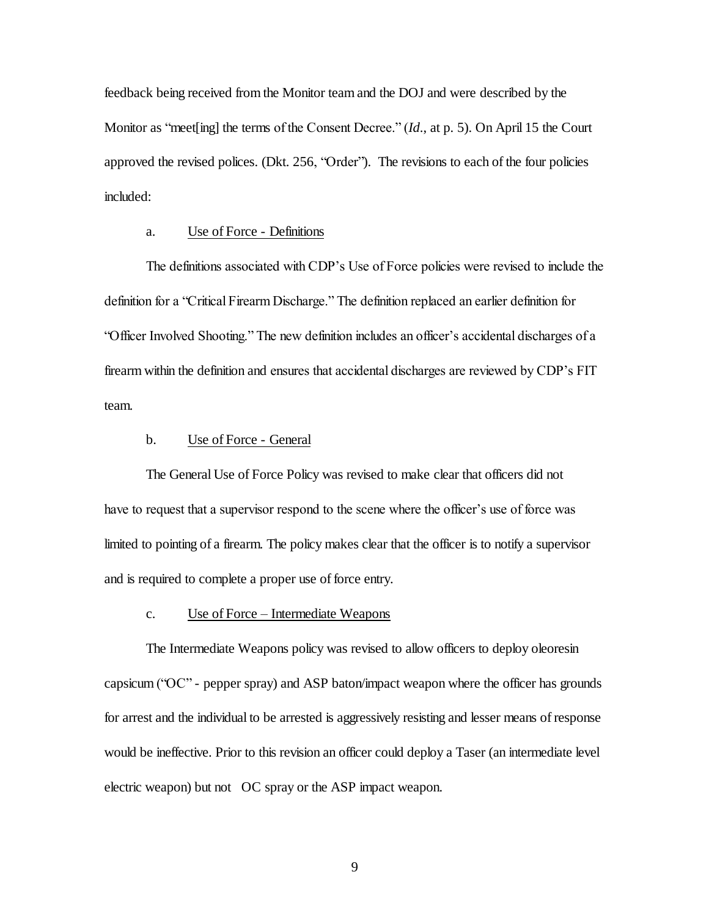feedback being received from the Monitor team and the DOJ and were described by the Monitor as "meet[ing] the terms of the Consent Decree." (*Id*., at p. 5). On April 15 the Court approved the revised polices. (Dkt. 256, "Order"). The revisions to each of the four policies included:

#### a. Use of Force - Definitions

The definitions associated with CDP's Use of Force policies were revised to include the definition for a "Critical Firearm Discharge." The definition replaced an earlier definition for "Officer Involved Shooting." The new definition includes an officer's accidental discharges of a firearm within the definition and ensures that accidental discharges are reviewed by CDP's FIT team.

## b. Use of Force - General

The General Use of Force Policy was revised to make clear that officers did not have to request that a supervisor respond to the scene where the officer's use of force was limited to pointing of a firearm. The policy makes clear that the officer is to notify a supervisor and is required to complete a proper use of force entry.

#### c. Use of Force – Intermediate Weapons

The Intermediate Weapons policy was revised to allow officers to deploy oleoresin capsicum ("OC" - pepper spray) and ASP baton/impact weapon where the officer has grounds for arrest and the individual to be arrested is aggressively resisting and lesser means of response would be ineffective. Prior to this revision an officer could deploy a Taser (an intermediate level electric weapon) but not OC spray or the ASP impact weapon.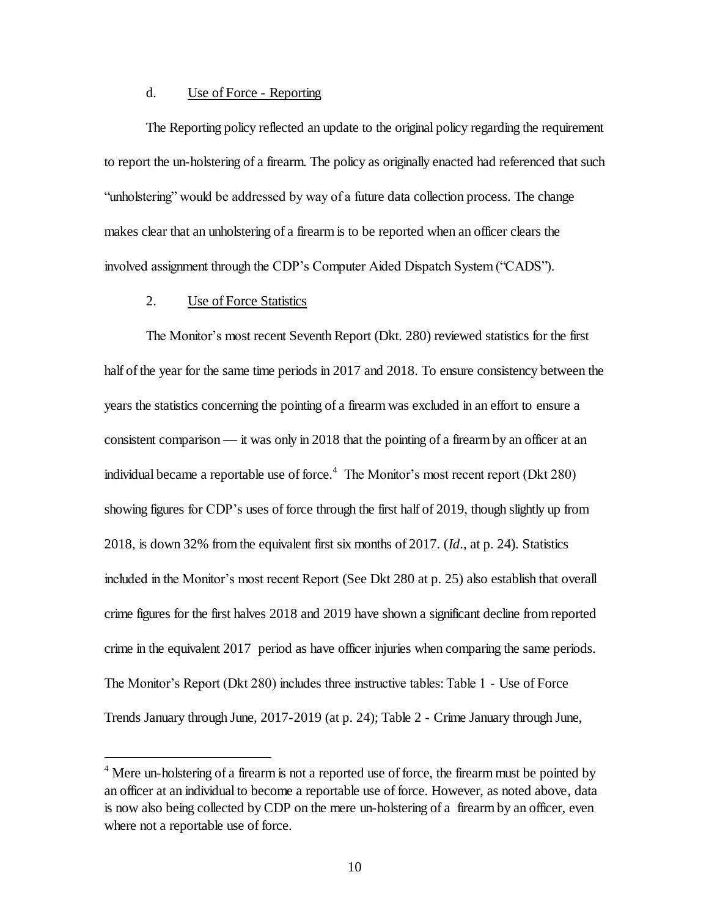#### d. Use of Force - Reporting

The Reporting policy reflected an update to the original policy regarding the requirement to report the un-holstering of a firearm. The policy as originally enacted had referenced that such "unholstering" would be addressed by way of a future data collection process. The change makes clear that an unholstering of a firearm is to be reported when an officer clears the involved assignment through the CDP's Computer Aided Dispatch System ("CADS").

## 2. Use of Force Statistics

l

The Monitor's most recent Seventh Report (Dkt. 280) reviewed statistics for the first half of the year for the same time periods in 2017 and 2018. To ensure consistency between the years the statistics concerning the pointing of a firearm was excluded in an effort to ensure a consistent comparison — it was only in 2018 that the pointing of a firearm by an officer at an individual became a reportable use of force.<sup>4</sup> The Monitor's most recent report (Dkt 280) showing figures for CDP's uses of force through the first half of 2019, though slightly up from 2018, is down 32% from the equivalent first six months of 2017. (*Id*., at p. 24). Statistics included in the Monitor's most recent Report (See Dkt 280 at p. 25) also establish that overall crime figures for the first halves 2018 and 2019 have shown a significant decline from reported crime in the equivalent 2017 period as have officer injuries when comparing the same periods. The Monitor's Report (Dkt 280) includes three instructive tables: Table 1 - Use of Force Trends January through June, 2017-2019 (at p. 24); Table 2 - Crime January through June,

<sup>&</sup>lt;sup>4</sup> Mere un-holstering of a firearm is not a reported use of force, the firearm must be pointed by an officer at an individual to become a reportable use of force. However, as noted above, data is now also being collected by CDP on the mere un-holstering of a firearm by an officer, even where not a reportable use of force.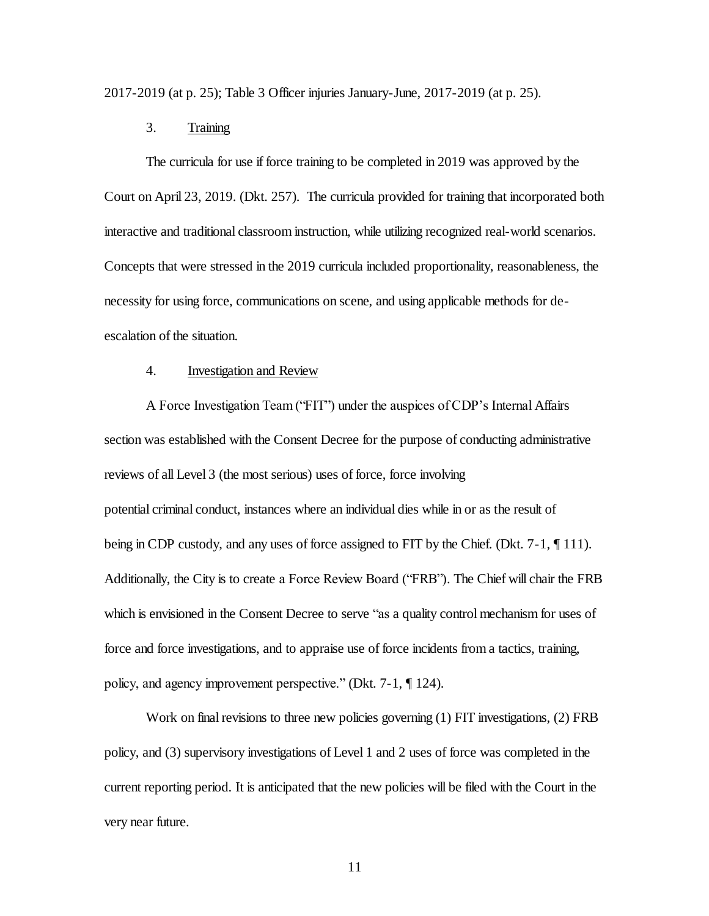2017-2019 (at p. 25); Table 3 Officer injuries January-June, 2017-2019 (at p. 25).

## 3. Training

The curricula for use if force training to be completed in 2019 was approved by the Court on April 23, 2019. (Dkt. 257). The curricula provided for training that incorporated both interactive and traditional classroom instruction, while utilizing recognized real-world scenarios. Concepts that were stressed in the 2019 curricula included proportionality, reasonableness, the necessity for using force, communications on scene, and using applicable methods for deescalation of the situation.

#### 4. Investigation and Review

A Force Investigation Team ("FIT") under the auspices of CDP's Internal Affairs section was established with the Consent Decree for the purpose of conducting administrative reviews of all Level 3 (the most serious) uses of force, force involving potential criminal conduct, instances where an individual dies while in or as the result of being in CDP custody, and any uses of force assigned to FIT by the Chief. (Dkt. 7-1, ¶ 111). Additionally, the City is to create a Force Review Board ("FRB"). The Chief will chair the FRB which is envisioned in the Consent Decree to serve "as a quality control mechanism for uses of force and force investigations, and to appraise use of force incidents from a tactics, training, policy, and agency improvement perspective." (Dkt. 7-1, ¶ 124).

Work on final revisions to three new policies governing (1) FIT investigations, (2) FRB policy, and (3) supervisory investigations of Level 1 and 2 uses of force was completed in the current reporting period. It is anticipated that the new policies will be filed with the Court in the very near future.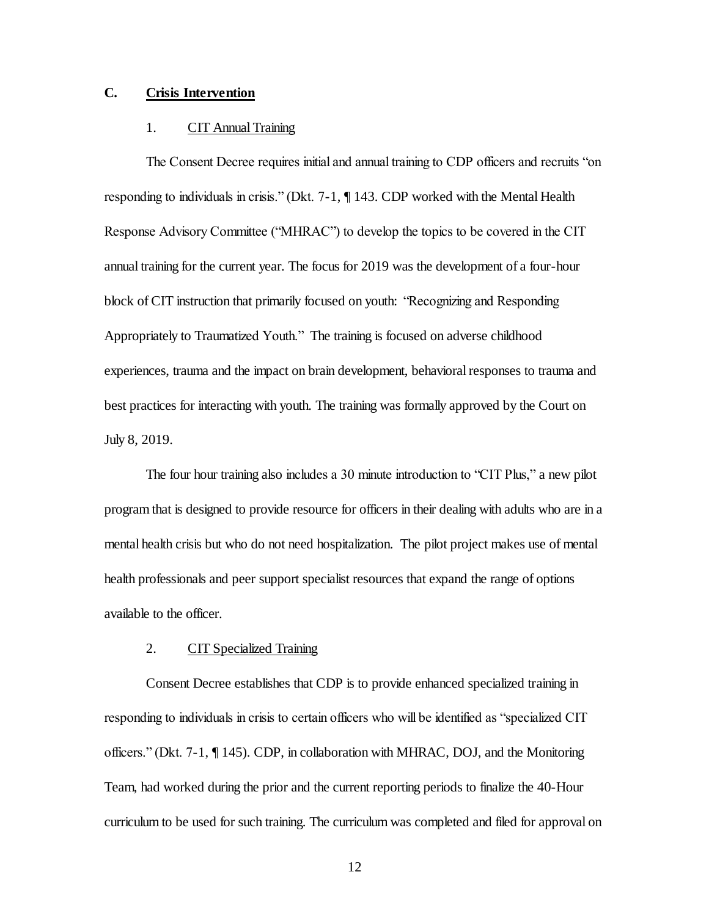## **C. Crisis Intervention**

#### 1. CIT Annual Training

The Consent Decree requires initial and annual training to CDP officers and recruits "on responding to individuals in crisis." (Dkt. 7-1, ¶ 143. CDP worked with the Mental Health Response Advisory Committee ("MHRAC") to develop the topics to be covered in the CIT annual training for the current year. The focus for 2019 was the development of a four-hour block of CIT instruction that primarily focused on youth: "Recognizing and Responding Appropriately to Traumatized Youth." The training is focused on adverse childhood experiences, trauma and the impact on brain development, behavioral responses to trauma and best practices for interacting with youth. The training was formally approved by the Court on July 8, 2019.

The four hour training also includes a 30 minute introduction to "CIT Plus," a new pilot program that is designed to provide resource for officers in their dealing with adults who are in a mental health crisis but who do not need hospitalization. The pilot project makes use of mental health professionals and peer support specialist resources that expand the range of options available to the officer.

## 2. CIT Specialized Training

Consent Decree establishes that CDP is to provide enhanced specialized training in responding to individuals in crisis to certain officers who will be identified as "specialized CIT officers." (Dkt. 7-1, ¶ 145). CDP, in collaboration with MHRAC, DOJ, and the Monitoring Team, had worked during the prior and the current reporting periods to finalize the 40-Hour curriculum to be used for such training. The curriculum was completed and filed for approval on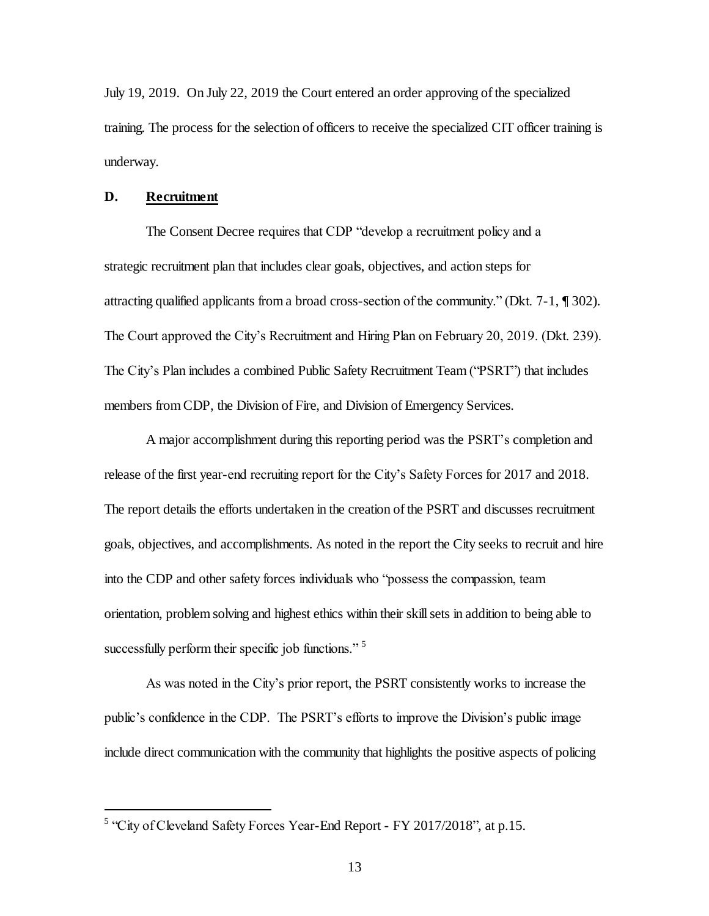July 19, 2019. On July 22, 2019 the Court entered an order approving of the specialized training. The process for the selection of officers to receive the specialized CIT officer training is underway.

### **D. Recruitment**

l

The Consent Decree requires that CDP "develop a recruitment policy and a strategic recruitment plan that includes clear goals, objectives, and action steps for attracting qualified applicants from a broad cross-section of the community." (Dkt. 7-1, ¶ 302). The Court approved the City's Recruitment and Hiring Plan on February 20, 2019. (Dkt. 239). The City's Plan includes a combined Public Safety Recruitment Team ("PSRT") that includes members from CDP, the Division of Fire, and Division of Emergency Services.

A major accomplishment during this reporting period was the PSRT's completion and release of the first year-end recruiting report for the City's Safety Forces for 2017 and 2018. The report details the efforts undertaken in the creation of the PSRT and discusses recruitment goals, objectives, and accomplishments. As noted in the report the City seeks to recruit and hire into the CDP and other safety forces individuals who "possess the compassion, team orientation, problem solving and highest ethics within their skill sets in addition to being able to successfully perform their specific job functions."<sup>5</sup>

As was noted in the City's prior report, the PSRT consistently works to increase the public's confidence in the CDP. The PSRT's efforts to improve the Division's public image include direct communication with the community that highlights the positive aspects of policing

<sup>&</sup>lt;sup>5</sup> "City of Cleveland Safety Forces Year-End Report - FY 2017/2018", at p.15.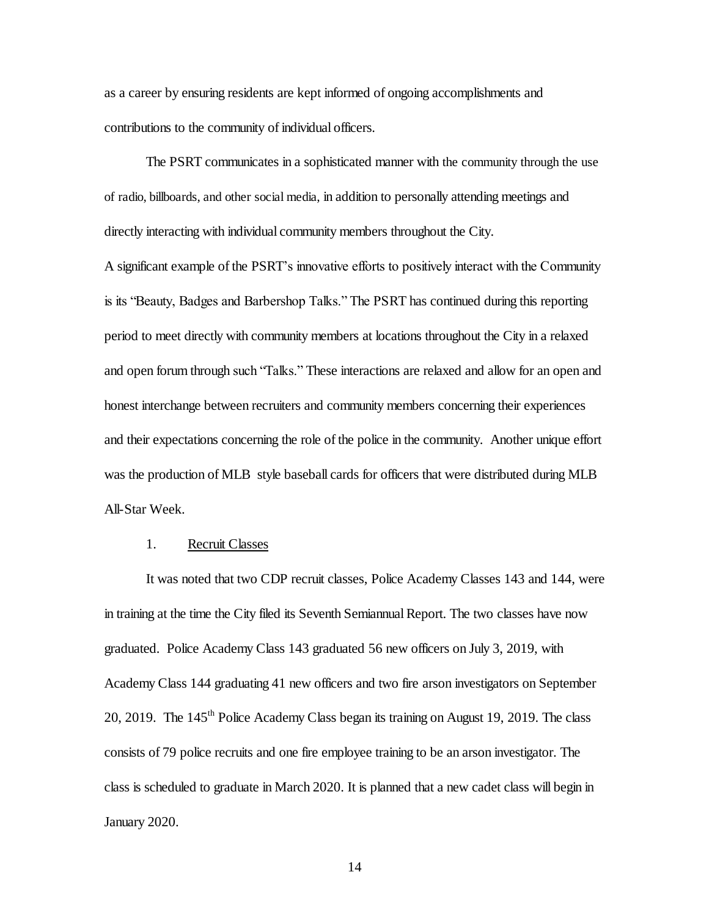as a career by ensuring residents are kept informed of ongoing accomplishments and contributions to the community of individual officers.

The PSRT communicates in a sophisticated manner with the community through the use of radio, billboards, and other social media, in addition to personally attending meetings and directly interacting with individual community members throughout the City.

A significant example of the PSRT's innovative efforts to positively interact with the Community is its "Beauty, Badges and Barbershop Talks." The PSRT has continued during this reporting period to meet directly with community members at locations throughout the City in a relaxed and open forum through such "Talks." These interactions are relaxed and allow for an open and honest interchange between recruiters and community members concerning their experiences and their expectations concerning the role of the police in the community. Another unique effort was the production of MLB style baseball cards for officers that were distributed during MLB All-Star Week.

### 1. Recruit Classes

It was noted that two CDP recruit classes, Police Academy Classes 143 and 144, were in training at the time the City filed its Seventh Semiannual Report. The two classes have now graduated. Police Academy Class 143 graduated 56 new officers on July 3, 2019, with Academy Class 144 graduating 41 new officers and two fire arson investigators on September 20, 2019. The 145<sup>th</sup> Police Academy Class began its training on August 19, 2019. The class consists of 79 police recruits and one fire employee training to be an arson investigator. The class is scheduled to graduate in March 2020. It is planned that a new cadet class will begin in January 2020.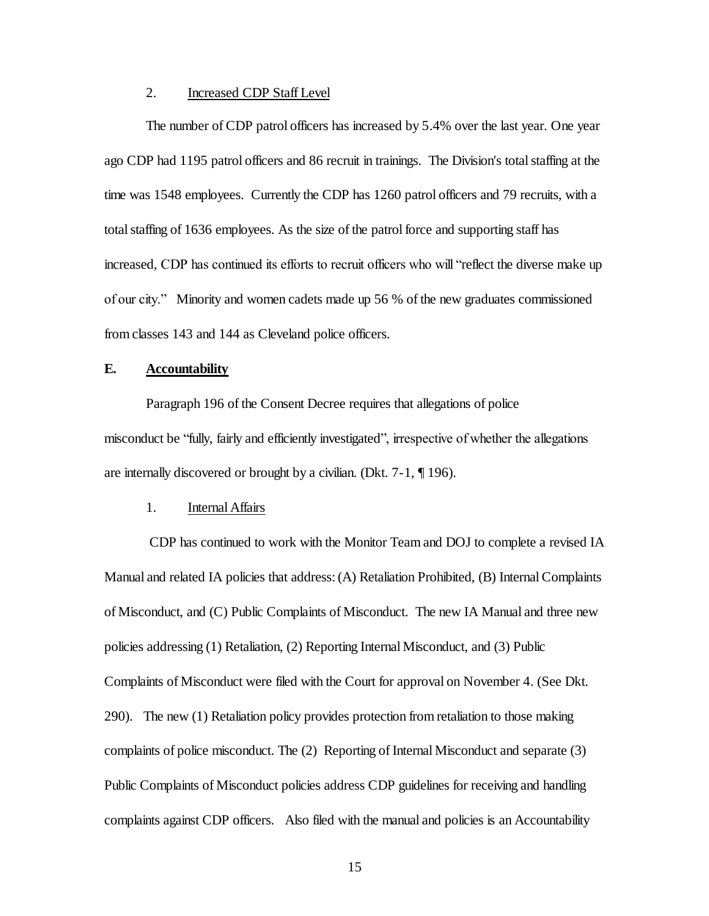#### 2. Increased CDP Staff Level

The number of CDP patrol officers has increased by 5.4% over the last year. One year ago CDP had 1195 patrol officers and 86 recruit in trainings. The Division's total staffing at the time was 1548 employees. Currently the CDP has 1260 patrol officers and 79 recruits, with a total staffing of 1636 employees. As the size of the patrol force and supporting staff has increased, CDP has continued its efforts to recruit officers who will "reflect the diverse make up of our city." Minority and women cadets made up 56 % of the new graduates commissioned from classes 143 and 144 as Cleveland police officers.

## **E. Accountability**

Paragraph 196 of the Consent Decree requires that allegations of police misconduct be "fully, fairly and efficiently investigated", irrespective of whether the allegations are internally discovered or brought by a civilian. (Dkt. 7-1, ¶ 196).

#### 1. Internal Affairs

CDP has continued to work with the Monitor Team and DOJ to complete a revised IA Manual and related IA policies that address: (A) Retaliation Prohibited, (B) Internal Complaints of Misconduct, and (C) Public Complaints of Misconduct. The new IA Manual and three new policies addressing (1) Retaliation, (2) Reporting Internal Misconduct, and (3) Public Complaints of Misconduct were filed with the Court for approval on November 4. (See Dkt. 290). The new (1) Retaliation policy provides protection from retaliation to those making complaints of police misconduct. The (2) Reporting of Internal Misconduct and separate (3) Public Complaints of Misconduct policies address CDP guidelines for receiving and handling complaints against CDP officers. Also filed with the manual and policies is an Accountability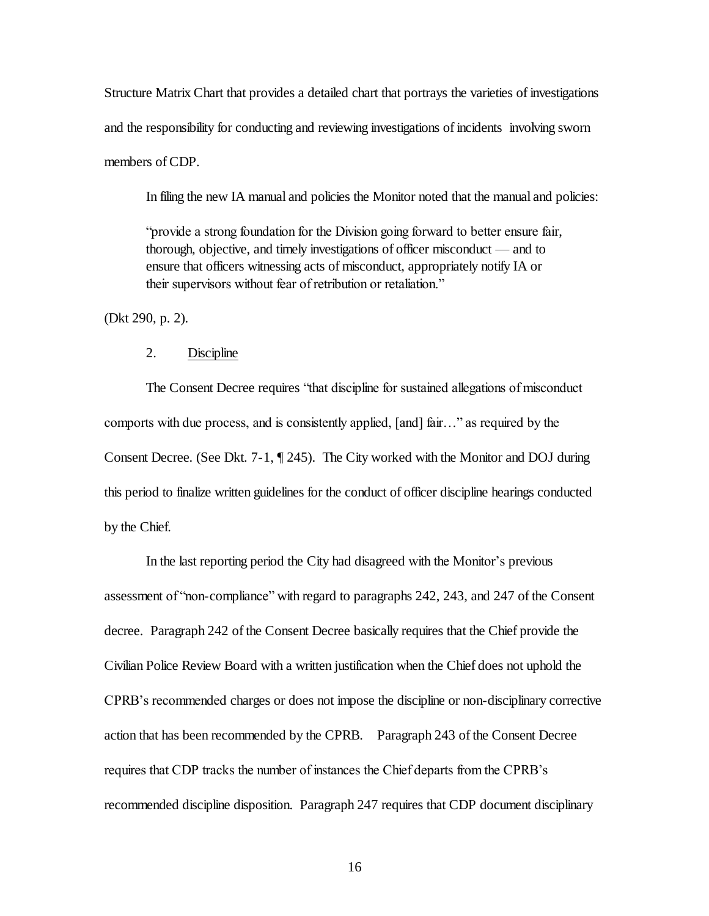Structure Matrix Chart that provides a detailed chart that portrays the varieties of investigations and the responsibility for conducting and reviewing investigations of incidents involving sworn members of CDP.

In filing the new IA manual and policies the Monitor noted that the manual and policies:

"provide a strong foundation for the Division going forward to better ensure fair, thorough, objective, and timely investigations of officer misconduct — and to ensure that officers witnessing acts of misconduct, appropriately notify IA or their supervisors without fear of retribution or retaliation."

(Dkt 290, p. 2).

## 2. Discipline

The Consent Decree requires "that discipline for sustained allegations of misconduct comports with due process, and is consistently applied, [and] fair…" as required by the Consent Decree. (See Dkt. 7-1, ¶ 245). The City worked with the Monitor and DOJ during this period to finalize written guidelines for the conduct of officer discipline hearings conducted by the Chief.

In the last reporting period the City had disagreed with the Monitor's previous assessment of "non-compliance" with regard to paragraphs 242, 243, and 247 of the Consent decree. Paragraph 242 of the Consent Decree basically requires that the Chief provide the Civilian Police Review Board with a written justification when the Chief does not uphold the CPRB's recommended charges or does not impose the discipline or non-disciplinary corrective action that has been recommended by the CPRB. Paragraph 243 of the Consent Decree requires that CDP tracks the number of instances the Chief departs from the CPRB's recommended discipline disposition. Paragraph 247 requires that CDP document disciplinary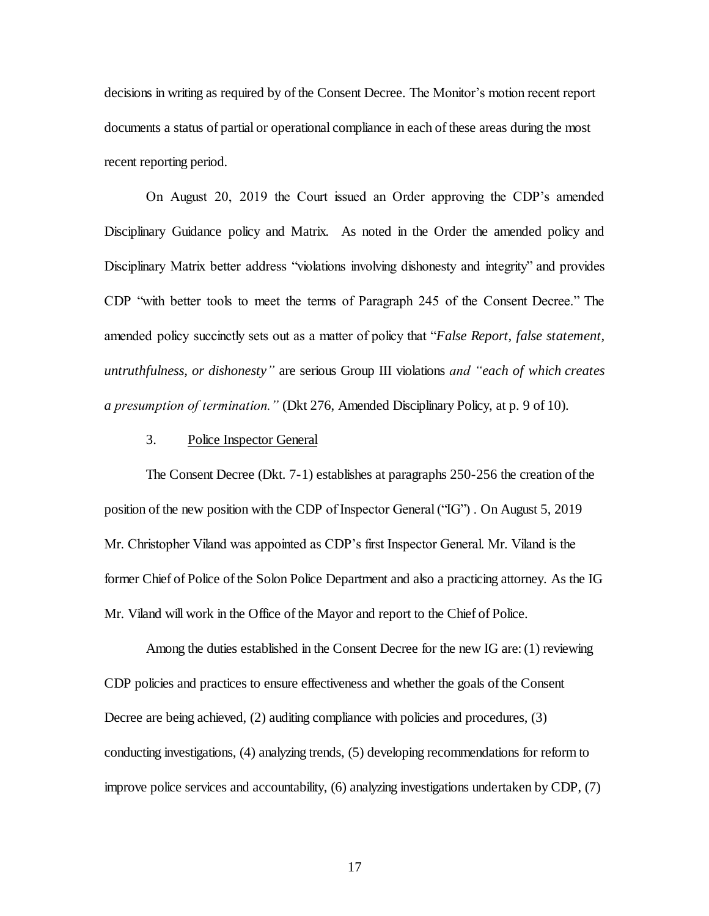decisions in writing as required by of the Consent Decree. The Monitor's motion recent report documents a status of partial or operational compliance in each of these areas during the most recent reporting period.

On August 20, 2019 the Court issued an Order approving the CDP's amended Disciplinary Guidance policy and Matrix. As noted in the Order the amended policy and Disciplinary Matrix better address "violations involving dishonesty and integrity" and provides CDP "with better tools to meet the terms of Paragraph 245 of the Consent Decree." The amended policy succinctly sets out as a matter of policy that "*False Report, false statement, untruthfulness, or dishonesty"* are serious Group III violations *and "each of which creates a presumption of termination."* (Dkt 276, Amended Disciplinary Policy, at p. 9 of 10).

#### 3. Police Inspector General

The Consent Decree (Dkt. 7-1) establishes at paragraphs 250-256 the creation of the position of the new position with the CDP of Inspector General ("IG") . On August 5, 2019 Mr. Christopher Viland was appointed as CDP's first Inspector General. Mr. Viland is the former Chief of Police of the Solon Police Department and also a practicing attorney. As the IG Mr. Viland will work in the Office of the Mayor and report to the Chief of Police.

Among the duties established in the Consent Decree for the new IG are: (1) reviewing CDP policies and practices to ensure effectiveness and whether the goals of the Consent Decree are being achieved, (2) auditing compliance with policies and procedures, (3) conducting investigations, (4) analyzing trends, (5) developing recommendations for reform to improve police services and accountability, (6) analyzing investigations undertaken by CDP, (7)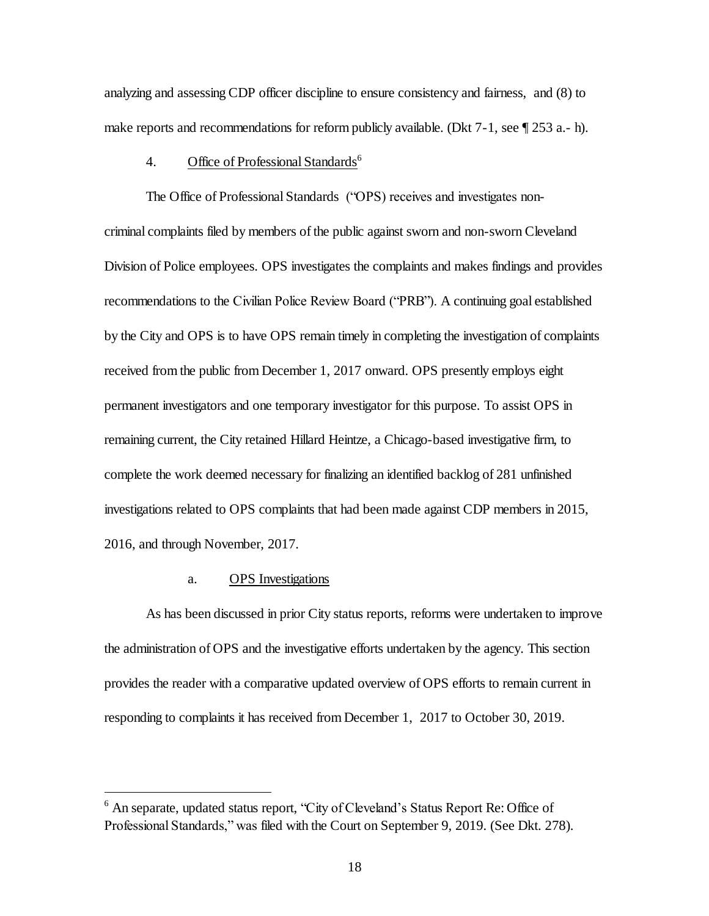analyzing and assessing CDP officer discipline to ensure consistency and fairness, and (8) to make reports and recommendations for reform publicly available. (Dkt 7-1, see ¶ 253 a.- h).

## 4. Office of Professional Standards<sup>6</sup>

The Office of Professional Standards ("OPS) receives and investigates noncriminal complaints filed by members of the public against sworn and non-sworn Cleveland Division of Police employees. OPS investigates the complaints and makes findings and provides recommendations to the Civilian Police Review Board ("PRB"). A continuing goal established by the City and OPS is to have OPS remain timely in completing the investigation of complaints received from the public from December 1, 2017 onward. OPS presently employs eight permanent investigators and one temporary investigator for this purpose. To assist OPS in remaining current, the City retained Hillard Heintze, a Chicago-based investigative firm, to complete the work deemed necessary for finalizing an identified backlog of 281 unfinished investigations related to OPS complaints that had been made against CDP members in 2015, 2016, and through November, 2017.

## a. OPS Investigations

l

As has been discussed in prior City status reports, reforms were undertaken to improve the administration of OPS and the investigative efforts undertaken by the agency. This section provides the reader with a comparative updated overview of OPS efforts to remain current in responding to complaints it has received from December 1, 2017 to October 30, 2019.

 $<sup>6</sup>$  An separate, updated status report, "City of Cleveland's Status Report Re: Office of</sup> Professional Standards," was filed with the Court on September 9, 2019. (See Dkt. 278).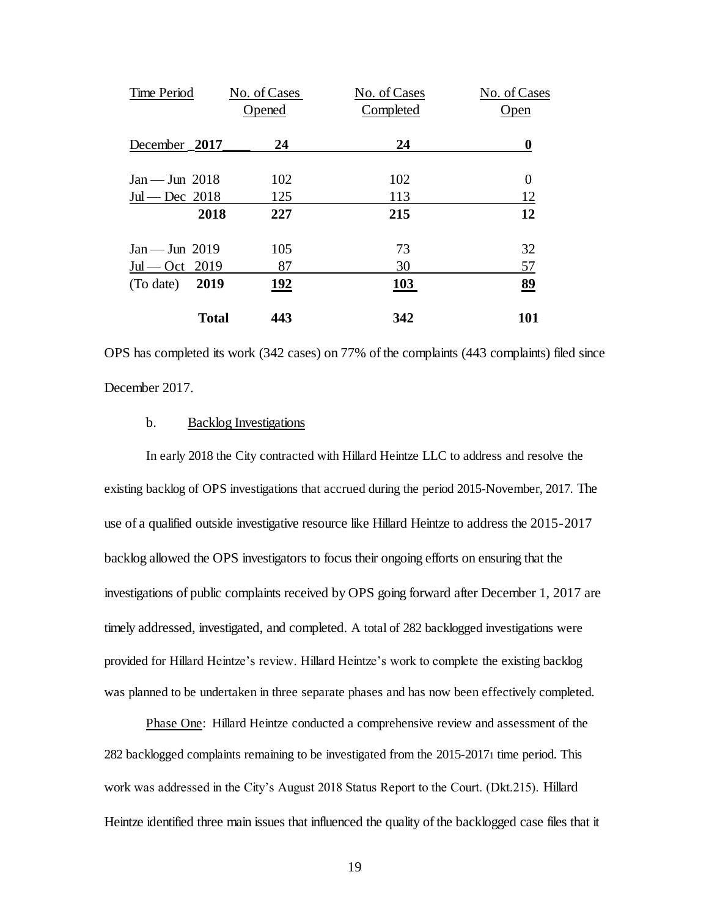| Time Period             | No. of Cases | No. of Cases | No. of Cases     |
|-------------------------|--------------|--------------|------------------|
|                         | Opened       | Completed    | Open             |
| December 2017           | 24           | 24           | 0                |
| $Jan - Jun$ 2018        | 102          | 102          | $\boldsymbol{0}$ |
| $Jul$ - Dec 2018        | 125          | 113          | 12               |
| 2018                    | 227          | 215          | 12               |
| $Jan - Jun 2019$        | 105          | 73           | 32               |
| $Jul$ $\sim$ $Cct$ 2019 | 87           | 30           | 57               |
| 2019<br>(To date)       | <u>192</u>   | 103          | 89               |
| <b>Total</b>            | 443          | 342          | 101              |

OPS has completed its work (342 cases) on 77% of the complaints (443 complaints) filed since December 2017.

#### b. Backlog Investigations

In early 2018 the City contracted with Hillard Heintze LLC to address and resolve the existing backlog of OPS investigations that accrued during the period 2015-November, 2017. The use of a qualified outside investigative resource like Hillard Heintze to address the 2015-2017 backlog allowed the OPS investigators to focus their ongoing efforts on ensuring that the investigations of public complaints received by OPS going forward after December 1, 2017 are timely addressed, investigated, and completed. A total of 282 backlogged investigations were provided for Hillard Heintze's review. Hillard Heintze's work to complete the existing backlog was planned to be undertaken in three separate phases and has now been effectively completed.

Phase One: Hillard Heintze conducted a comprehensive review and assessment of the 282 backlogged complaints remaining to be investigated from the 2015-20171 time period. This work was addressed in the City's August 2018 Status Report to the Court. (Dkt.215). Hillard Heintze identified three main issues that influenced the quality of the backlogged case files that it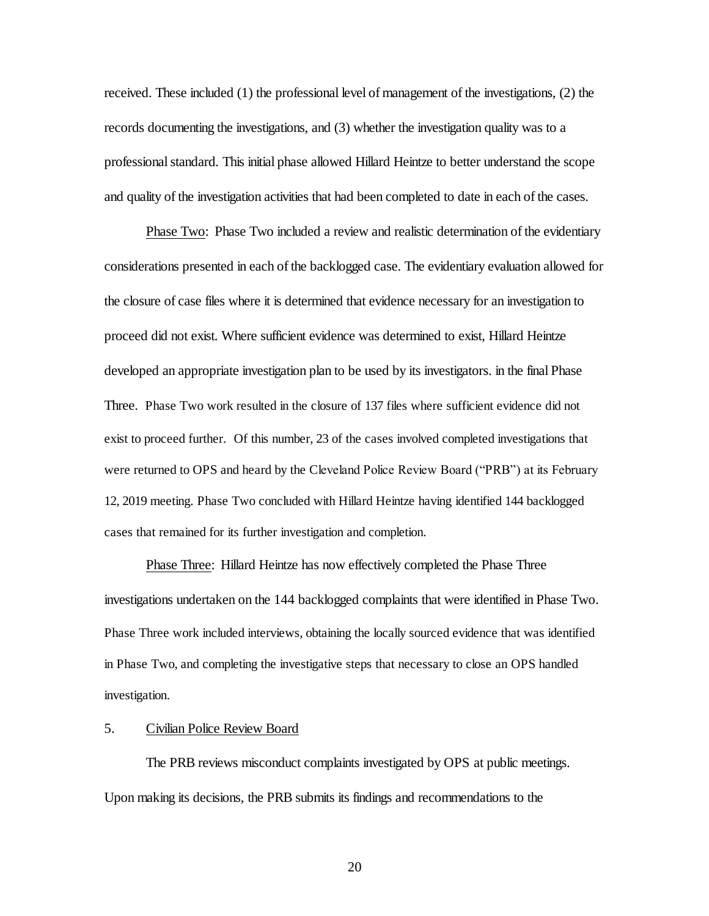received. These included (1) the professional level of management of the investigations, (2) the records documenting the investigations, and (3) whether the investigation quality was to a professional standard. This initial phase allowed Hillard Heintze to better understand the scope and quality of the investigation activities that had been completed to date in each of the cases.

Phase Two: Phase Two included a review and realistic determination of the evidentiary considerations presented in each of the backlogged case. The evidentiary evaluation allowed for the closure of case files where it is determined that evidence necessary for an investigation to proceed did not exist. Where sufficient evidence was determined to exist, Hillard Heintze developed an appropriate investigation plan to be used by its investigators. in the final Phase Three. Phase Two work resulted in the closure of 137 files where sufficient evidence did not exist to proceed further. Of this number, 23 of the cases involved completed investigations that were returned to OPS and heard by the Cleveland Police Review Board ("PRB") at its February 12, 2019 meeting. Phase Two concluded with Hillard Heintze having identified 144 backlogged cases that remained for its further investigation and completion.

Phase Three: Hillard Heintze has now effectively completed the Phase Three investigations undertaken on the 144 backlogged complaints that were identified in Phase Two. Phase Three work included interviews, obtaining the locally sourced evidence that was identified in Phase Two, and completing the investigative steps that necessary to close an OPS handled investigation.

### 5. Civilian Police Review Board

The PRB reviews misconduct complaints investigated by OPS at public meetings. Upon making its decisions, the PRB submits its findings and recommendations to the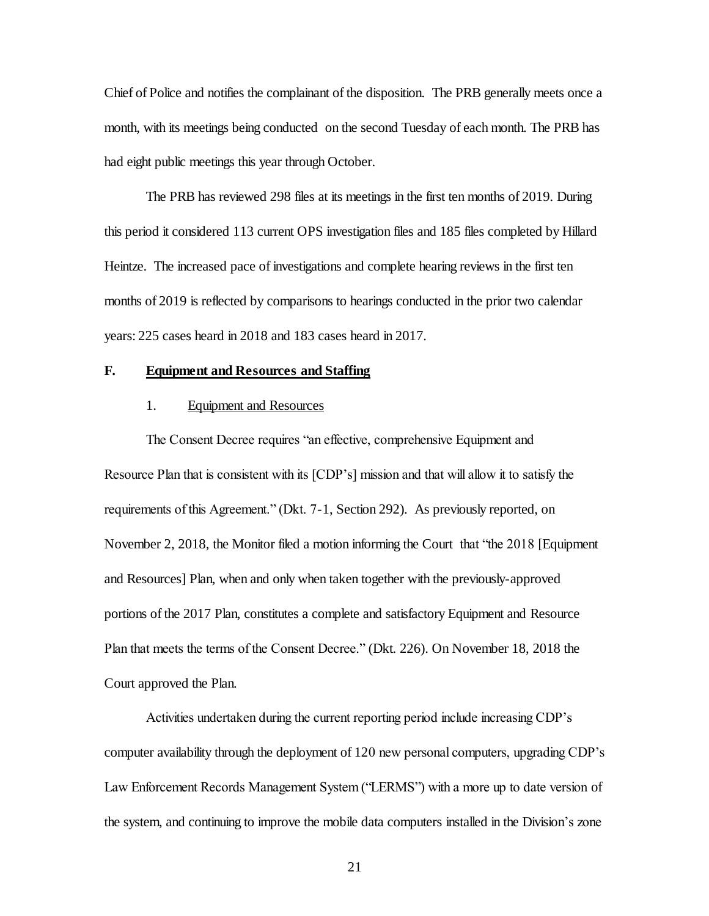Chief of Police and notifies the complainant of the disposition. The PRB generally meets once a month, with its meetings being conducted on the second Tuesday of each month. The PRB has had eight public meetings this year through October.

The PRB has reviewed 298 files at its meetings in the first ten months of 2019. During this period it considered 113 current OPS investigation files and 185 files completed by Hillard Heintze. The increased pace of investigations and complete hearing reviews in the first ten months of 2019 is reflected by comparisons to hearings conducted in the prior two calendar years: 225 cases heard in 2018 and 183 cases heard in 2017.

#### **F. Equipment and Resources and Staffing**

#### 1. Equipment and Resources

The Consent Decree requires "an effective, comprehensive Equipment and Resource Plan that is consistent with its [CDP's] mission and that will allow it to satisfy the requirements of this Agreement." (Dkt. 7-1, Section 292). As previously reported, on November 2, 2018, the Monitor filed a motion informing the Court that "the 2018 [Equipment and Resources] Plan, when and only when taken together with the previously-approved portions of the 2017 Plan, constitutes a complete and satisfactory Equipment and Resource Plan that meets the terms of the Consent Decree." (Dkt. 226). On November 18, 2018 the Court approved the Plan.

Activities undertaken during the current reporting period include increasing CDP's computer availability through the deployment of 120 new personal computers, upgrading CDP's Law Enforcement Records Management System ("LERMS") with a more up to date version of the system, and continuing to improve the mobile data computers installed in the Division's zone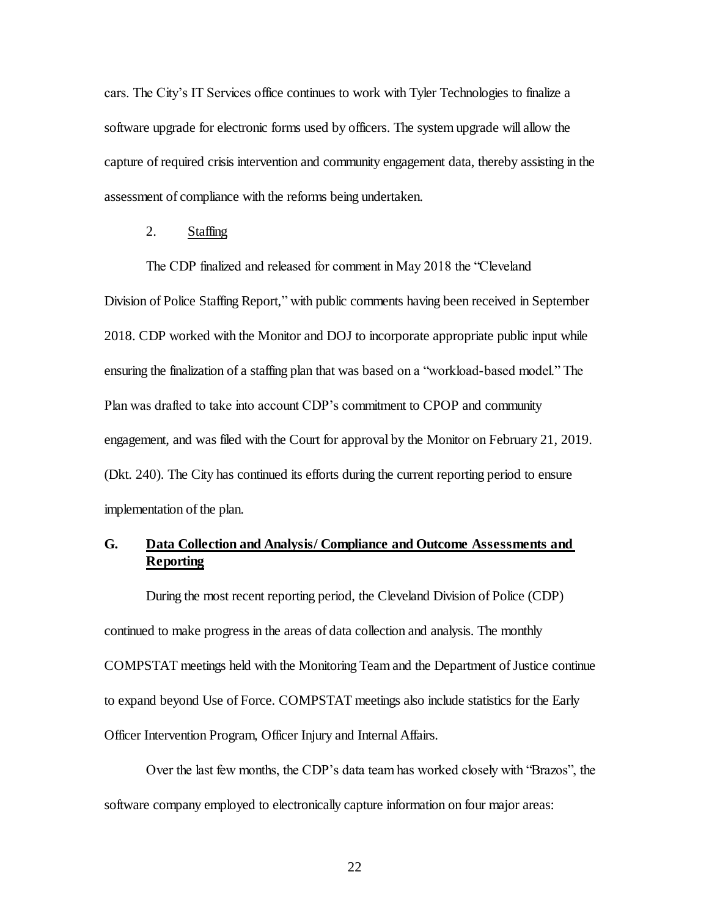cars. The City's IT Services office continues to work with Tyler Technologies to finalize a software upgrade for electronic forms used by officers. The system upgrade will allow the capture of required crisis intervention and community engagement data, thereby assisting in the assessment of compliance with the reforms being undertaken.

## 2. Staffing

The CDP finalized and released for comment in May 2018 the "Cleveland Division of Police Staffing Report," with public comments having been received in September 2018. CDP worked with the Monitor and DOJ to incorporate appropriate public input while ensuring the finalization of a staffing plan that was based on a "workload-based model." The Plan was drafted to take into account CDP's commitment to CPOP and community engagement, and was filed with the Court for approval by the Monitor on February 21, 2019. (Dkt. 240). The City has continued its efforts during the current reporting period to ensure implementation of the plan.

# **G. Data Collection and Analysis/ Compliance and Outcome Assessments and Reporting**

During the most recent reporting period, the Cleveland Division of Police (CDP) continued to make progress in the areas of data collection and analysis. The monthly COMPSTAT meetings held with the Monitoring Team and the Department of Justice continue to expand beyond Use of Force. COMPSTAT meetings also include statistics for the Early Officer Intervention Program, Officer Injury and Internal Affairs.

Over the last few months, the CDP's data team has worked closely with "Brazos", the software company employed to electronically capture information on four major areas: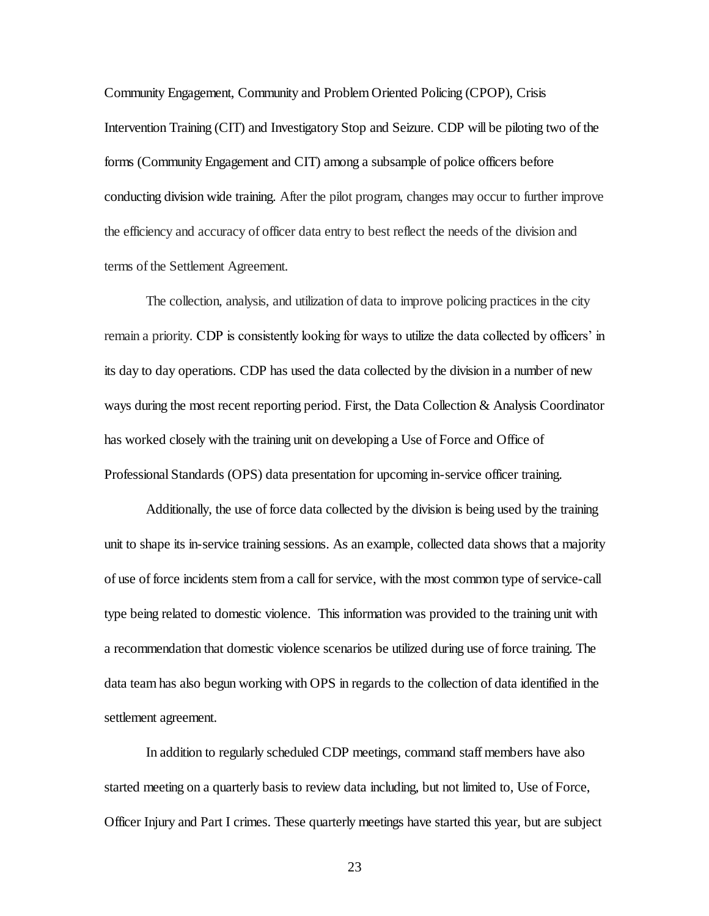Community Engagement, Community and Problem Oriented Policing (CPOP), Crisis Intervention Training (CIT) and Investigatory Stop and Seizure. CDP will be piloting two of the forms (Community Engagement and CIT) among a subsample of police officers before conducting division wide training. After the pilot program, changes may occur to further improve the efficiency and accuracy of officer data entry to best reflect the needs of the division and terms of the Settlement Agreement.

The collection, analysis, and utilization of data to improve policing practices in the city remain a priority. CDP is consistently looking for ways to utilize the data collected by officers' in its day to day operations. CDP has used the data collected by the division in a number of new ways during the most recent reporting period. First, the Data Collection & Analysis Coordinator has worked closely with the training unit on developing a Use of Force and Office of Professional Standards (OPS) data presentation for upcoming in-service officer training.

Additionally, the use of force data collected by the division is being used by the training unit to shape its in-service training sessions. As an example, collected data shows that a majority of use of force incidents stem from a call for service, with the most common type of service-call type being related to domestic violence. This information was provided to the training unit with a recommendation that domestic violence scenarios be utilized during use of force training. The data team has also begun working with OPS in regards to the collection of data identified in the settlement agreement.

In addition to regularly scheduled CDP meetings, command staff members have also started meeting on a quarterly basis to review data including, but not limited to, Use of Force, Officer Injury and Part I crimes. These quarterly meetings have started this year, but are subject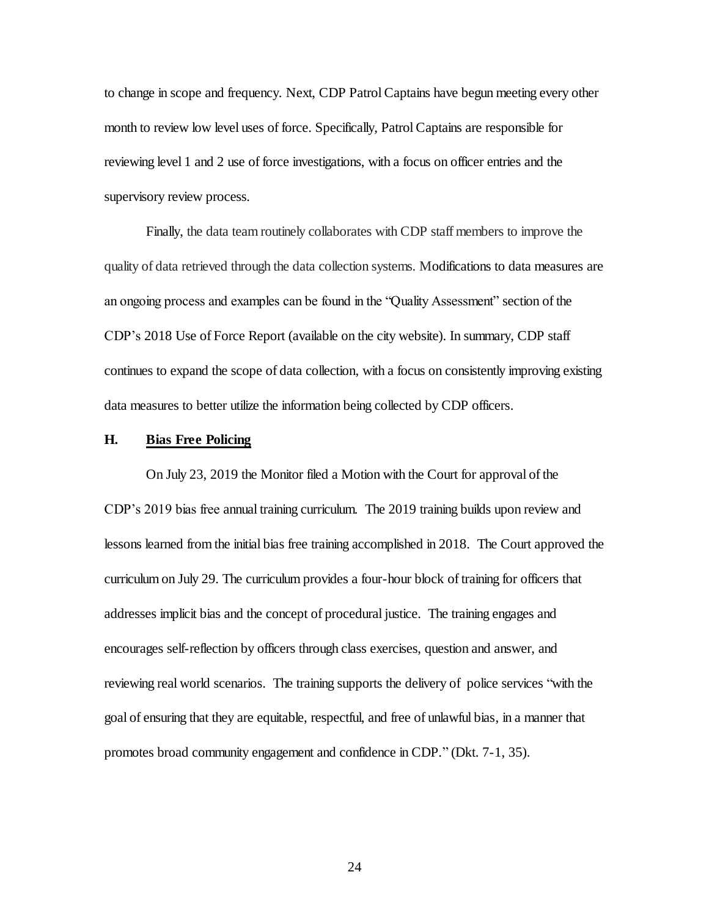to change in scope and frequency. Next, CDP Patrol Captains have begun meeting every other month to review low level uses of force. Specifically, Patrol Captains are responsible for reviewing level 1 and 2 use of force investigations, with a focus on officer entries and the supervisory review process.

Finally, the data team routinely collaborates with CDP staff members to improve the quality of data retrieved through the data collection systems. Modifications to data measures are an ongoing process and examples can be found in the "Quality Assessment" section of the CDP's 2018 Use of Force Report (available on the city website). In summary, CDP staff continues to expand the scope of data collection, with a focus on consistently improving existing data measures to better utilize the information being collected by CDP officers.

## **H. Bias Free Policing**

On July 23, 2019 the Monitor filed a Motion with the Court for approval of the CDP's 2019 bias free annual training curriculum. The 2019 training builds upon review and lessons learned from the initial bias free training accomplished in 2018. The Court approved the curriculum on July 29. The curriculum provides a four-hour block of training for officers that addresses implicit bias and the concept of procedural justice. The training engages and encourages self-reflection by officers through class exercises, question and answer, and reviewing real world scenarios. The training supports the delivery of police services "with the goal of ensuring that they are equitable, respectful, and free of unlawful bias, in a manner that promotes broad community engagement and confidence in CDP." (Dkt. 7-1, 35).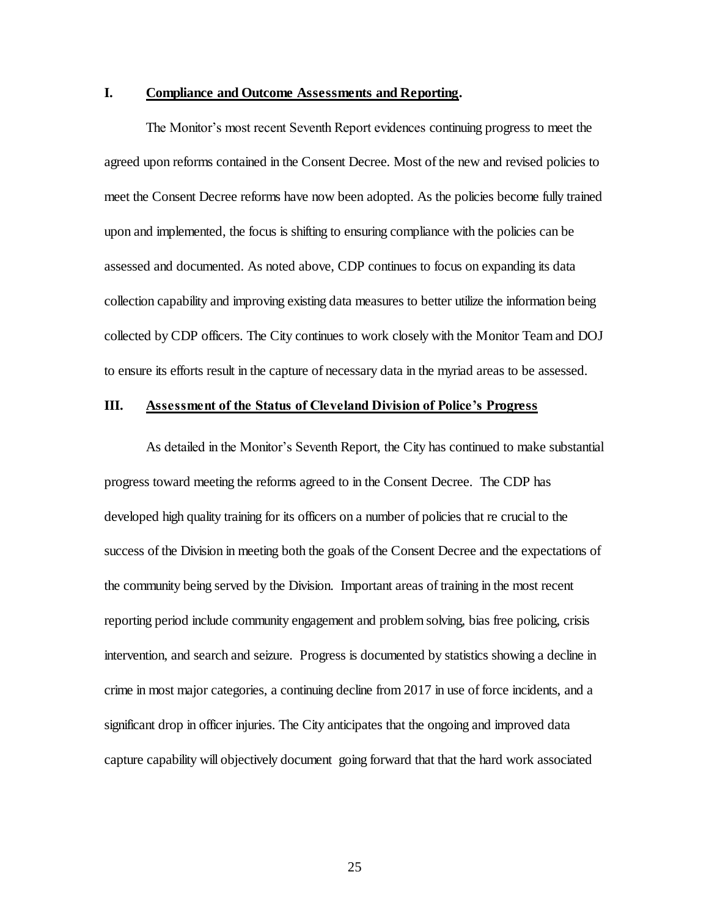## **I. Compliance and Outcome Assessments and Reporting.**

The Monitor's most recent Seventh Report evidences continuing progress to meet the agreed upon reforms contained in the Consent Decree. Most of the new and revised policies to meet the Consent Decree reforms have now been adopted. As the policies become fully trained upon and implemented, the focus is shifting to ensuring compliance with the policies can be assessed and documented. As noted above, CDP continues to focus on expanding its data collection capability and improving existing data measures to better utilize the information being collected by CDP officers. The City continues to work closely with the Monitor Team and DOJ to ensure its efforts result in the capture of necessary data in the myriad areas to be assessed.

## **III. Assessment of the Status of Cleveland Division of Police's Progress**

As detailed in the Monitor's Seventh Report, the City has continued to make substantial progress toward meeting the reforms agreed to in the Consent Decree. The CDP has developed high quality training for its officers on a number of policies that re crucial to the success of the Division in meeting both the goals of the Consent Decree and the expectations of the community being served by the Division. Important areas of training in the most recent reporting period include community engagement and problem solving, bias free policing, crisis intervention, and search and seizure. Progress is documented by statistics showing a decline in crime in most major categories, a continuing decline from 2017 in use of force incidents, and a significant drop in officer injuries. The City anticipates that the ongoing and improved data capture capability will objectively document going forward that that the hard work associated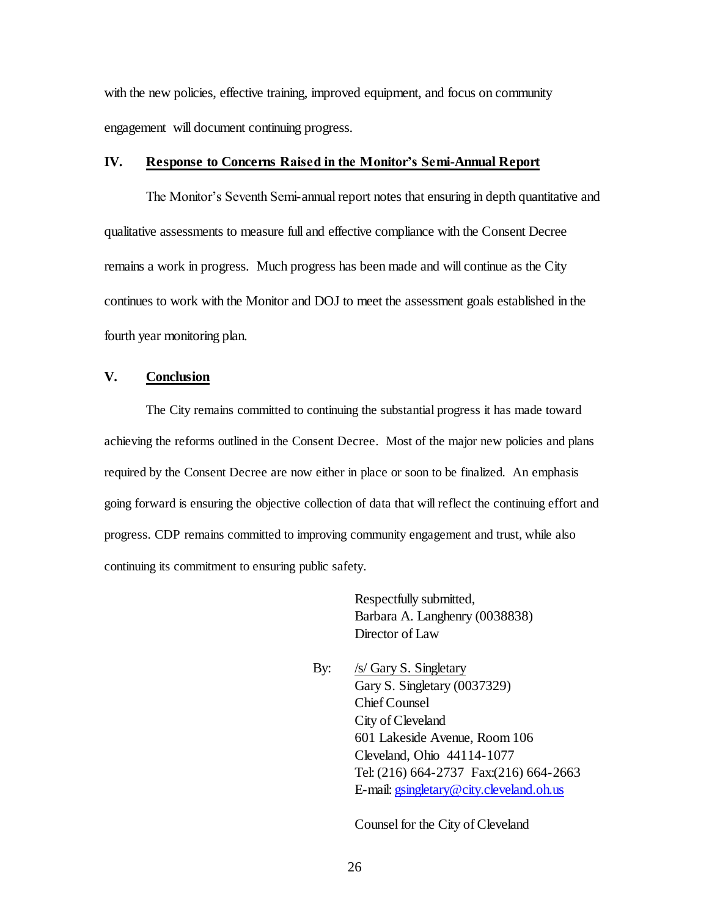with the new policies, effective training, improved equipment, and focus on community engagement will document continuing progress.

#### **IV. Response to Concerns Raised in the Monitor's Semi-Annual Report**

The Monitor's Seventh Semi-annual report notes that ensuring in depth quantitative and qualitative assessments to measure full and effective compliance with the Consent Decree remains a work in progress. Much progress has been made and will continue as the City continues to work with the Monitor and DOJ to meet the assessment goals established in the fourth year monitoring plan.

## **V. Conclusion**

The City remains committed to continuing the substantial progress it has made toward achieving the reforms outlined in the Consent Decree. Most of the major new policies and plans required by the Consent Decree are now either in place or soon to be finalized. An emphasis going forward is ensuring the objective collection of data that will reflect the continuing effort and progress. CDP remains committed to improving community engagement and trust, while also continuing its commitment to ensuring public safety.

> Respectfully submitted, Barbara A. Langhenry (0038838) Director of Law

By: /s/ Gary S. Singletary Gary S. Singletary (0037329) Chief Counsel City of Cleveland 601 Lakeside Avenue, Room 106 Cleveland, Ohio 44114-1077 Tel:(216) 664-2737 Fax:(216) 664-2663 E-mail[: gsingletary@city.cleveland.oh.us](mailto:gsingletary@city.cleveland.oh.us)

Counsel for the City of Cleveland